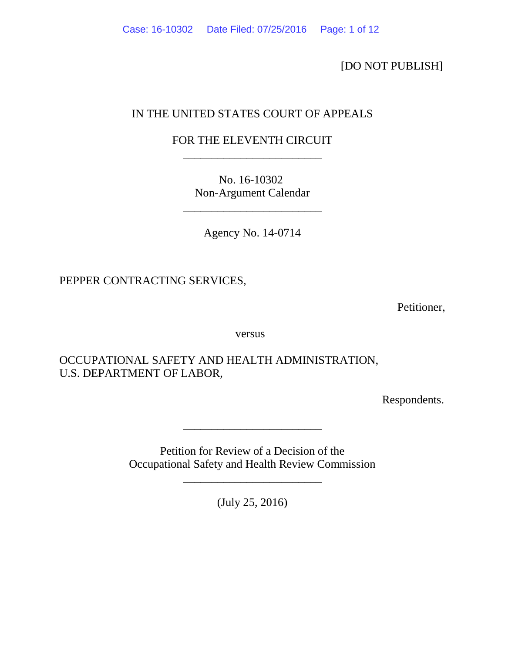[DO NOT PUBLISH]

# IN THE UNITED STATES COURT OF APPEALS

# FOR THE ELEVENTH CIRCUIT \_\_\_\_\_\_\_\_\_\_\_\_\_\_\_\_\_\_\_\_\_\_\_\_

No. 16-10302 Non-Argument Calendar

\_\_\_\_\_\_\_\_\_\_\_\_\_\_\_\_\_\_\_\_\_\_\_\_

Agency No. 14-0714

PEPPER CONTRACTING SERVICES,

Petitioner,

versus

OCCUPATIONAL SAFETY AND HEALTH ADMINISTRATION, U.S. DEPARTMENT OF LABOR,

Respondents.

Petition for Review of a Decision of the Occupational Safety and Health Review Commission

\_\_\_\_\_\_\_\_\_\_\_\_\_\_\_\_\_\_\_\_\_\_\_\_

\_\_\_\_\_\_\_\_\_\_\_\_\_\_\_\_\_\_\_\_\_\_\_\_

(July 25, 2016)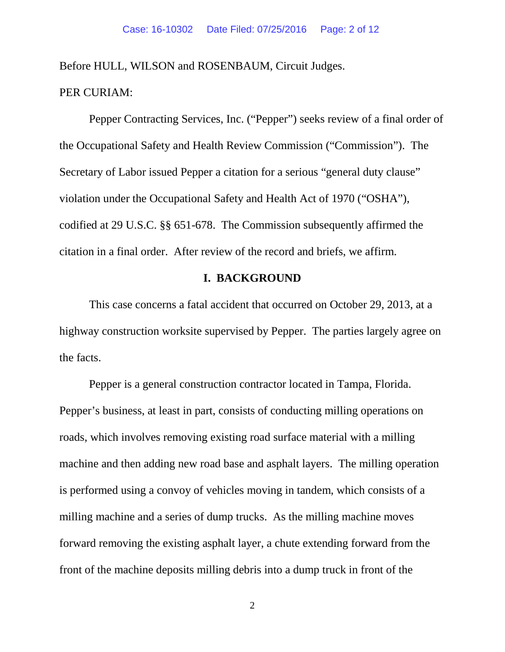Before HULL, WILSON and ROSENBAUM, Circuit Judges.

## PER CURIAM:

Pepper Contracting Services, Inc. ("Pepper") seeks review of a final order of the Occupational Safety and Health Review Commission ("Commission"). The Secretary of Labor issued Pepper a citation for a serious "general duty clause" violation under the Occupational Safety and Health Act of 1970 ("OSHA"), codified at 29 U.S.C. §§ 651-678. The Commission subsequently affirmed the citation in a final order. After review of the record and briefs, we affirm.

## **I. BACKGROUND**

This case concerns a fatal accident that occurred on October 29, 2013, at a highway construction worksite supervised by Pepper. The parties largely agree on the facts.

Pepper is a general construction contractor located in Tampa, Florida. Pepper's business, at least in part, consists of conducting milling operations on roads, which involves removing existing road surface material with a milling machine and then adding new road base and asphalt layers. The milling operation is performed using a convoy of vehicles moving in tandem, which consists of a milling machine and a series of dump trucks. As the milling machine moves forward removing the existing asphalt layer, a chute extending forward from the front of the machine deposits milling debris into a dump truck in front of the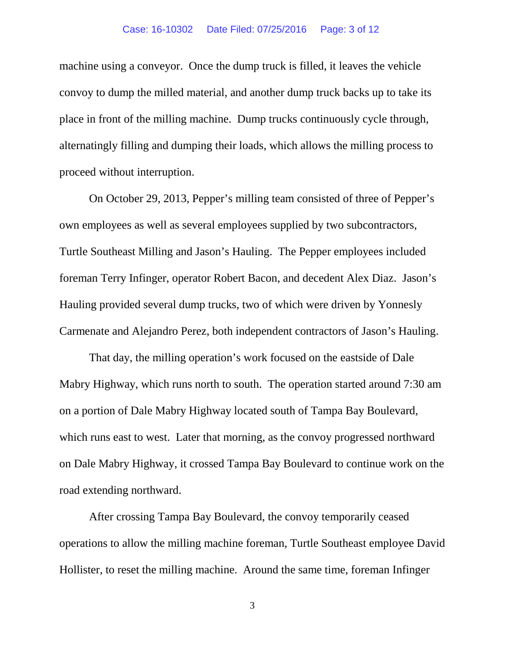machine using a conveyor. Once the dump truck is filled, it leaves the vehicle convoy to dump the milled material, and another dump truck backs up to take its place in front of the milling machine. Dump trucks continuously cycle through, alternatingly filling and dumping their loads, which allows the milling process to proceed without interruption.

On October 29, 2013, Pepper's milling team consisted of three of Pepper's own employees as well as several employees supplied by two subcontractors, Turtle Southeast Milling and Jason's Hauling. The Pepper employees included foreman Terry Infinger, operator Robert Bacon, and decedent Alex Diaz. Jason's Hauling provided several dump trucks, two of which were driven by Yonnesly Carmenate and Alejandro Perez, both independent contractors of Jason's Hauling.

That day, the milling operation's work focused on the eastside of Dale Mabry Highway, which runs north to south. The operation started around 7:30 am on a portion of Dale Mabry Highway located south of Tampa Bay Boulevard, which runs east to west. Later that morning, as the convoy progressed northward on Dale Mabry Highway, it crossed Tampa Bay Boulevard to continue work on the road extending northward.

After crossing Tampa Bay Boulevard, the convoy temporarily ceased operations to allow the milling machine foreman, Turtle Southeast employee David Hollister, to reset the milling machine. Around the same time, foreman Infinger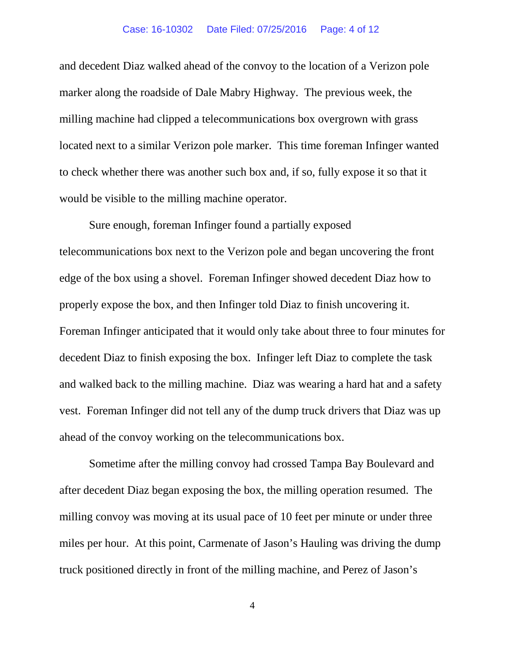#### Case: 16-10302 Date Filed: 07/25/2016 Page: 4 of 12

and decedent Diaz walked ahead of the convoy to the location of a Verizon pole marker along the roadside of Dale Mabry Highway. The previous week, the milling machine had clipped a telecommunications box overgrown with grass located next to a similar Verizon pole marker. This time foreman Infinger wanted to check whether there was another such box and, if so, fully expose it so that it would be visible to the milling machine operator.

Sure enough, foreman Infinger found a partially exposed telecommunications box next to the Verizon pole and began uncovering the front edge of the box using a shovel. Foreman Infinger showed decedent Diaz how to properly expose the box, and then Infinger told Diaz to finish uncovering it. Foreman Infinger anticipated that it would only take about three to four minutes for decedent Diaz to finish exposing the box. Infinger left Diaz to complete the task and walked back to the milling machine. Diaz was wearing a hard hat and a safety vest. Foreman Infinger did not tell any of the dump truck drivers that Diaz was up ahead of the convoy working on the telecommunications box.

Sometime after the milling convoy had crossed Tampa Bay Boulevard and after decedent Diaz began exposing the box, the milling operation resumed. The milling convoy was moving at its usual pace of 10 feet per minute or under three miles per hour. At this point, Carmenate of Jason's Hauling was driving the dump truck positioned directly in front of the milling machine, and Perez of Jason's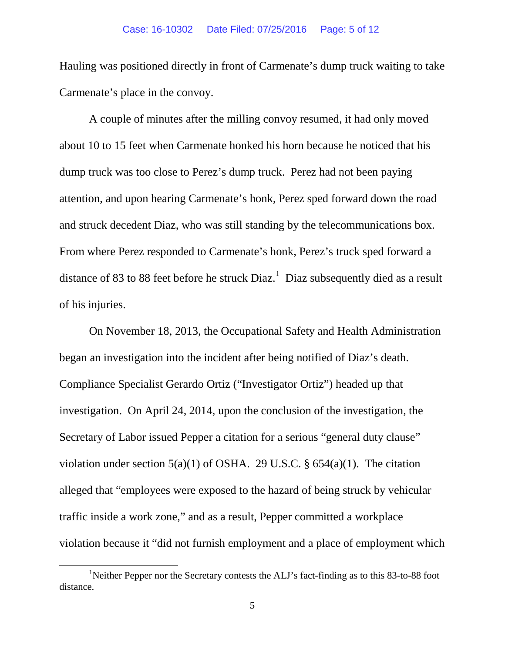Hauling was positioned directly in front of Carmenate's dump truck waiting to take Carmenate's place in the convoy.

A couple of minutes after the milling convoy resumed, it had only moved about 10 to 15 feet when Carmenate honked his horn because he noticed that his dump truck was too close to Perez's dump truck. Perez had not been paying attention, and upon hearing Carmenate's honk, Perez sped forward down the road and struck decedent Diaz, who was still standing by the telecommunications box. From where Perez responded to Carmenate's honk, Perez's truck sped forward a distance of 83 to 88 feet before he struck  $Diaz$ <sup>[1](#page-4-0)</sup> Diaz subsequently died as a result of his injuries.

On November 18, 2013, the Occupational Safety and Health Administration began an investigation into the incident after being notified of Diaz's death. Compliance Specialist Gerardo Ortiz ("Investigator Ortiz") headed up that investigation. On April 24, 2014, upon the conclusion of the investigation, the Secretary of Labor issued Pepper a citation for a serious "general duty clause" violation under section  $5(a)(1)$  of OSHA. 29 U.S.C. §  $654(a)(1)$ . The citation alleged that "employees were exposed to the hazard of being struck by vehicular traffic inside a work zone," and as a result, Pepper committed a workplace violation because it "did not furnish employment and a place of employment which

<span id="page-4-0"></span><sup>&</sup>lt;u>1</u> <sup>1</sup>Neither Pepper nor the Secretary contests the ALJ's fact-finding as to this 83-to-88 foot distance.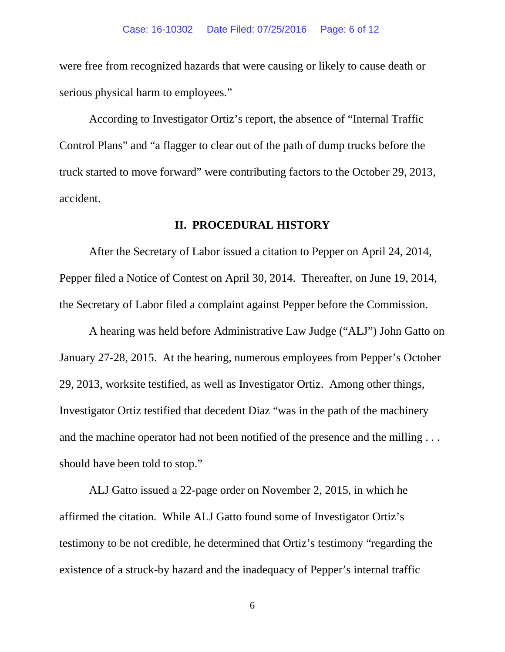were free from recognized hazards that were causing or likely to cause death or serious physical harm to employees."

According to Investigator Ortiz's report, the absence of "Internal Traffic Control Plans" and "a flagger to clear out of the path of dump trucks before the truck started to move forward" were contributing factors to the October 29, 2013, accident.

### **II. PROCEDURAL HISTORY**

After the Secretary of Labor issued a citation to Pepper on April 24, 2014, Pepper filed a Notice of Contest on April 30, 2014. Thereafter, on June 19, 2014, the Secretary of Labor filed a complaint against Pepper before the Commission.

A hearing was held before Administrative Law Judge ("ALJ") John Gatto on January 27-28, 2015. At the hearing, numerous employees from Pepper's October 29, 2013, worksite testified, as well as Investigator Ortiz. Among other things, Investigator Ortiz testified that decedent Diaz "was in the path of the machinery and the machine operator had not been notified of the presence and the milling . . . should have been told to stop."

ALJ Gatto issued a 22-page order on November 2, 2015, in which he affirmed the citation. While ALJ Gatto found some of Investigator Ortiz's testimony to be not credible, he determined that Ortiz's testimony "regarding the existence of a struck-by hazard and the inadequacy of Pepper's internal traffic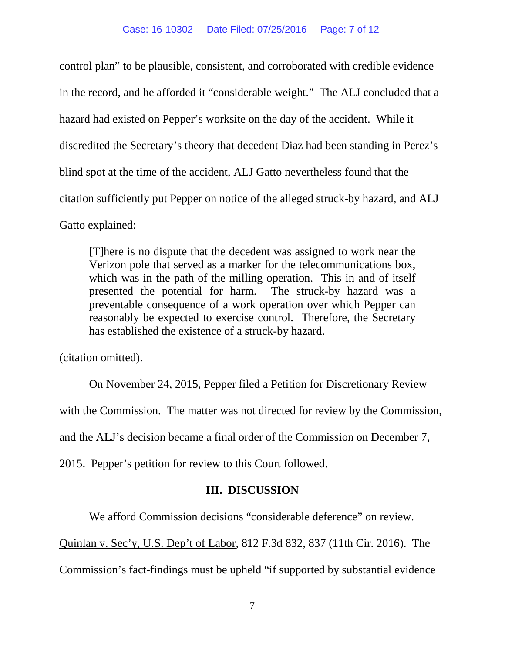control plan" to be plausible, consistent, and corroborated with credible evidence in the record, and he afforded it "considerable weight." The ALJ concluded that a hazard had existed on Pepper's worksite on the day of the accident. While it discredited the Secretary's theory that decedent Diaz had been standing in Perez's blind spot at the time of the accident, ALJ Gatto nevertheless found that the citation sufficiently put Pepper on notice of the alleged struck-by hazard, and ALJ Gatto explained:

[T]here is no dispute that the decedent was assigned to work near the Verizon pole that served as a marker for the telecommunications box, which was in the path of the milling operation. This in and of itself presented the potential for harm. The struck-by hazard was a preventable consequence of a work operation over which Pepper can reasonably be expected to exercise control. Therefore, the Secretary has established the existence of a struck-by hazard.

(citation omitted).

On November 24, 2015, Pepper filed a Petition for Discretionary Review with the Commission. The matter was not directed for review by the Commission, and the ALJ's decision became a final order of the Commission on December 7, 2015. Pepper's petition for review to this Court followed.

## **III. DISCUSSION**

We afford Commission decisions "considerable deference" on review.

Quinlan v. Sec'y, U.S. Dep't of Labor, 812 F.3d 832, 837 (11th Cir. 2016). The

Commission's fact-findings must be upheld "if supported by substantial evidence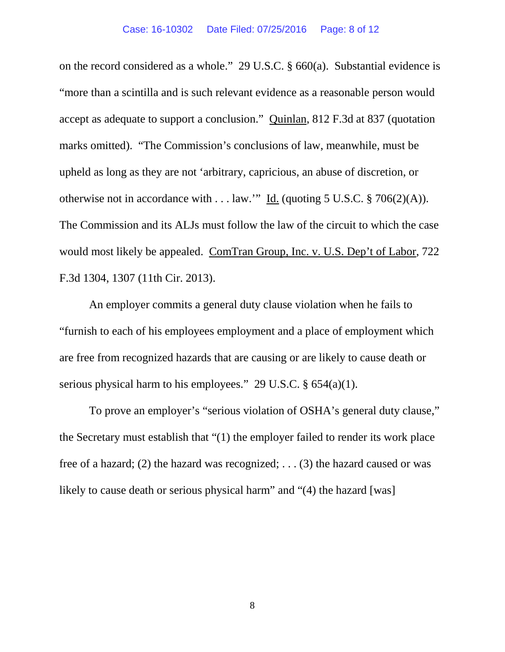on the record considered as a whole." 29 U.S.C. § 660(a). Substantial evidence is "more than a scintilla and is such relevant evidence as a reasonable person would accept as adequate to support a conclusion." Quinlan, 812 F.3d at 837 (quotation marks omitted). "The Commission's conclusions of law, meanwhile, must be upheld as long as they are not 'arbitrary, capricious, an abuse of discretion, or otherwise not in accordance with . . . law." Id. (quoting 5 U.S.C.  $\S 706(2)(A)$ ). The Commission and its ALJs must follow the law of the circuit to which the case would most likely be appealed. ComTran Group, Inc. v. U.S. Dep't of Labor, 722 F.3d 1304, 1307 (11th Cir. 2013).

An employer commits a general duty clause violation when he fails to "furnish to each of his employees employment and a place of employment which are free from recognized hazards that are causing or are likely to cause death or serious physical harm to his employees." 29 U.S.C. § 654(a)(1).

To prove an employer's "serious violation of OSHA's general duty clause," the Secretary must establish that "(1) the employer failed to render its work place free of a hazard; (2) the hazard was recognized; ... (3) the hazard caused or was likely to cause death or serious physical harm" and "(4) the hazard [was]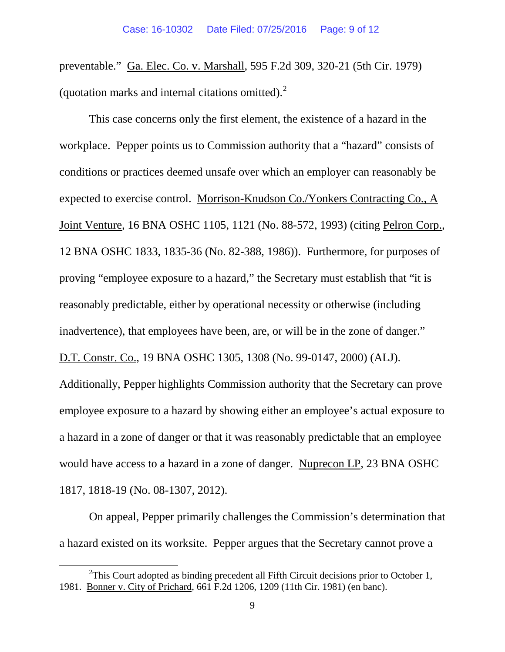preventable." Ga. Elec. Co. v. Marshall, 595 F.2d 309, 320-21 (5th Cir. 1979) (quotation marks and internal citations omitted). $2$ 

This case concerns only the first element, the existence of a hazard in the workplace. Pepper points us to Commission authority that a "hazard" consists of conditions or practices deemed unsafe over which an employer can reasonably be expected to exercise control. Morrison-Knudson Co./Yonkers Contracting Co., A Joint Venture, 16 BNA OSHC 1105, 1121 (No. 88-572, 1993) (citing Pelron Corp., 12 BNA OSHC 1833, 1835-36 (No. 82-388, 1986)). Furthermore, for purposes of proving "employee exposure to a hazard," the Secretary must establish that "it is reasonably predictable, either by operational necessity or otherwise (including inadvertence), that employees have been, are, or will be in the zone of danger."

D.T. Constr. Co., 19 BNA OSHC 1305, 1308 (No. 99-0147, 2000) (ALJ).

Additionally, Pepper highlights Commission authority that the Secretary can prove employee exposure to a hazard by showing either an employee's actual exposure to a hazard in a zone of danger or that it was reasonably predictable that an employee would have access to a hazard in a zone of danger. Nuprecon LP, 23 BNA OSHC 1817, 1818-19 (No. 08-1307, 2012).

On appeal, Pepper primarily challenges the Commission's determination that a hazard existed on its worksite. Pepper argues that the Secretary cannot prove a

<span id="page-8-0"></span> $\frac{1}{2}$ <sup>2</sup>This Court adopted as binding precedent all Fifth Circuit decisions prior to October 1, 1981. Bonner v. City of Prichard, 661 F.2d 1206, 1209 (11th Cir. 1981) (en banc).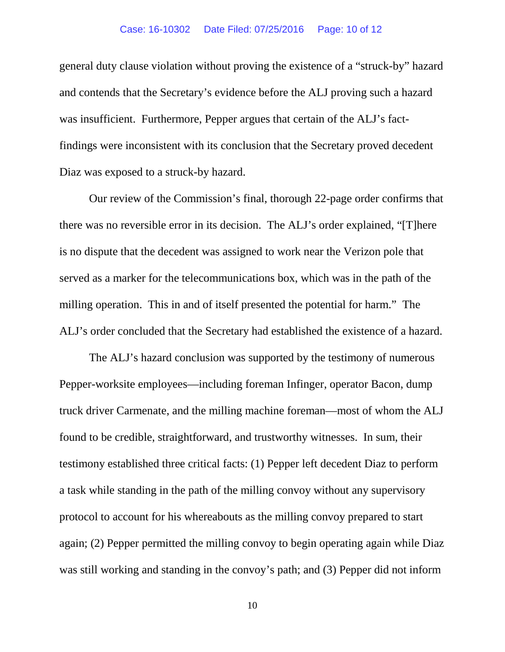#### Case: 16-10302 Date Filed: 07/25/2016 Page: 10 of 12

general duty clause violation without proving the existence of a "struck-by" hazard and contends that the Secretary's evidence before the ALJ proving such a hazard was insufficient. Furthermore, Pepper argues that certain of the ALJ's factfindings were inconsistent with its conclusion that the Secretary proved decedent Diaz was exposed to a struck-by hazard.

Our review of the Commission's final, thorough 22-page order confirms that there was no reversible error in its decision. The ALJ's order explained, "[T]here is no dispute that the decedent was assigned to work near the Verizon pole that served as a marker for the telecommunications box, which was in the path of the milling operation. This in and of itself presented the potential for harm." The ALJ's order concluded that the Secretary had established the existence of a hazard.

The ALJ's hazard conclusion was supported by the testimony of numerous Pepper-worksite employees—including foreman Infinger, operator Bacon, dump truck driver Carmenate, and the milling machine foreman—most of whom the ALJ found to be credible, straightforward, and trustworthy witnesses. In sum, their testimony established three critical facts: (1) Pepper left decedent Diaz to perform a task while standing in the path of the milling convoy without any supervisory protocol to account for his whereabouts as the milling convoy prepared to start again; (2) Pepper permitted the milling convoy to begin operating again while Diaz was still working and standing in the convoy's path; and (3) Pepper did not inform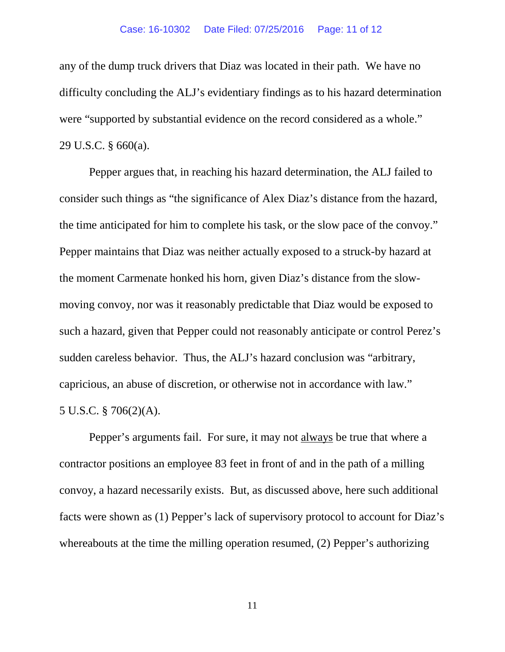#### Case: 16-10302 Date Filed: 07/25/2016 Page: 11 of 12

any of the dump truck drivers that Diaz was located in their path. We have no difficulty concluding the ALJ's evidentiary findings as to his hazard determination were "supported by substantial evidence on the record considered as a whole." 29 U.S.C. § 660(a).

Pepper argues that, in reaching his hazard determination, the ALJ failed to consider such things as "the significance of Alex Diaz's distance from the hazard, the time anticipated for him to complete his task, or the slow pace of the convoy." Pepper maintains that Diaz was neither actually exposed to a struck-by hazard at the moment Carmenate honked his horn, given Diaz's distance from the slowmoving convoy, nor was it reasonably predictable that Diaz would be exposed to such a hazard, given that Pepper could not reasonably anticipate or control Perez's sudden careless behavior. Thus, the ALJ's hazard conclusion was "arbitrary, capricious, an abuse of discretion, or otherwise not in accordance with law." 5 U.S.C. § 706(2)(A).

Pepper's arguments fail. For sure, it may not always be true that where a contractor positions an employee 83 feet in front of and in the path of a milling convoy, a hazard necessarily exists. But, as discussed above, here such additional facts were shown as (1) Pepper's lack of supervisory protocol to account for Diaz's whereabouts at the time the milling operation resumed, (2) Pepper's authorizing